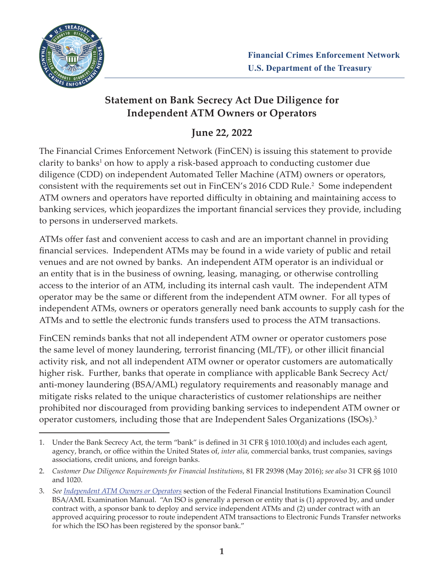

## **Statement on Bank Secrecy Act Due Diligence for Independent ATM Owners or Operators**

# **June 22, 2022**

The Financial Crimes Enforcement Network (FinCEN) is issuing this statement to provide clarity to banks<sup>1</sup> on how to apply a risk-based approach to conducting customer due diligence (CDD) on independent Automated Teller Machine (ATM) owners or operators, consistent with the requirements set out in FinCEN's 2016 CDD Rule.<sup>2</sup> Some independent ATM owners and operators have reported difficulty in obtaining and maintaining access to banking services, which jeopardizes the important financial services they provide, including to persons in underserved markets.

ATMs offer fast and convenient access to cash and are an important channel in providing financial services. Independent ATMs may be found in a wide variety of public and retail venues and are not owned by banks. An independent ATM operator is an individual or an entity that is in the business of owning, leasing, managing, or otherwise controlling access to the interior of an ATM, including its internal cash vault. The independent ATM operator may be the same or different from the independent ATM owner. For all types of independent ATMs, owners or operators generally need bank accounts to supply cash for the ATMs and to settle the electronic funds transfers used to process the ATM transactions.

FinCEN reminds banks that not all independent ATM owner or operator customers pose the same level of money laundering, terrorist financing (ML/TF), or other illicit financial activity risk, and not all independent ATM owner or operator customers are automatically higher risk. Further, banks that operate in compliance with applicable Bank Secrecy Act/ anti-money laundering (BSA/AML) regulatory requirements and reasonably manage and mitigate risks related to the unique characteristics of customer relationships are neither prohibited nor discouraged from providing banking services to independent ATM owner or operator customers, including those that are Independent Sales Organizations (ISOs).<sup>3</sup>

<sup>1.</sup> Under the Bank Secrecy Act, the term "bank" is defined in 31 CFR § 1010.100(d) and includes each agent, agency, branch, or office within the United States of, *inter alia*, commercial banks, trust companies, savings associations, credit unions, and foreign banks.

<sup>2.</sup> *Customer Due Diligence Requirements for Financial Institutions*, 81 FR 29398 (May 2016); *see also* 31 CFR §§ 1010 and 1020.

<sup>3.</sup> *See [Independent ATM Owners or Operators](https://bsaaml.ffiec.gov/manual/RisksAssociatedWithMoneyLaunderingAndTerroristFinancing/14)* section of the Federal Financial Institutions Examination Council BSA/AML Examination Manual. "An ISO is generally a person or entity that is (1) approved by, and under contract with, a sponsor bank to deploy and service independent ATMs and (2) under contract with an approved acquiring processor to route independent ATM transactions to Electronic Funds Transfer networks for which the ISO has been registered by the sponsor bank."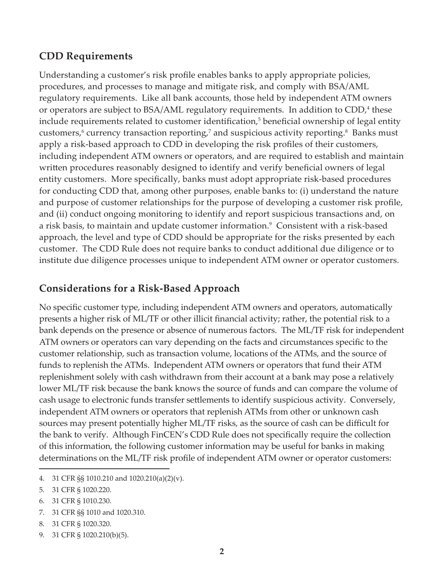#### **CDD Requirements**

Understanding a customer's risk profile enables banks to apply appropriate policies, procedures, and processes to manage and mitigate risk, and comply with BSA/AML regulatory requirements. Like all bank accounts, those held by independent ATM owners or operators are subject to  $BSA/AML$  regulatory requirements. In addition to  $CDD<sub>i</sub><sup>4</sup>$  these include requirements related to customer identification,<sup>5</sup> beneficial ownership of legal entity customers,<sup>6</sup> currency transaction reporting,<sup>7</sup> and suspicious activity reporting.<sup>8</sup> Banks must apply a risk-based approach to CDD in developing the risk profiles of their customers, including independent ATM owners or operators, and are required to establish and maintain written procedures reasonably designed to identify and verify beneficial owners of legal entity customers. More specifically, banks must adopt appropriate risk-based procedures for conducting CDD that, among other purposes, enable banks to: (i) understand the nature and purpose of customer relationships for the purpose of developing a customer risk profile, and (ii) conduct ongoing monitoring to identify and report suspicious transactions and, on a risk basis, to maintain and update customer information.<sup>9</sup> Consistent with a risk-based approach, the level and type of CDD should be appropriate for the risks presented by each customer. The CDD Rule does not require banks to conduct additional due diligence or to institute due diligence processes unique to independent ATM owner or operator customers.

## **Considerations for a Risk-Based Approach**

No specific customer type, including independent ATM owners and operators, automatically presents a higher risk of ML/TF or other illicit financial activity; rather, the potential risk to a bank depends on the presence or absence of numerous factors. The ML/TF risk for independent ATM owners or operators can vary depending on the facts and circumstances specific to the customer relationship, such as transaction volume, locations of the ATMs, and the source of funds to replenish the ATMs. Independent ATM owners or operators that fund their ATM replenishment solely with cash withdrawn from their account at a bank may pose a relatively lower ML/TF risk because the bank knows the source of funds and can compare the volume of cash usage to electronic funds transfer settlements to identify suspicious activity. Conversely, independent ATM owners or operators that replenish ATMs from other or unknown cash sources may present potentially higher ML/TF risks, as the source of cash can be difficult for the bank to verify. Although FinCEN's CDD Rule does not specifically require the collection of this information, the following customer information may be useful for banks in making determinations on the ML/TF risk profile of independent ATM owner or operator customers:

<sup>4.</sup> 31 CFR §§ 1010.210 and 1020.210(a)(2)(v).

<sup>5.</sup> 31 CFR § 1020.220.

<sup>6.</sup> 31 CFR § 1010.230.

<sup>7.</sup> 31 CFR §§ 1010 and 1020.310.

<sup>8.</sup> 31 CFR § 1020.320.

<sup>9.</sup> 31 CFR § 1020.210(b)(5).